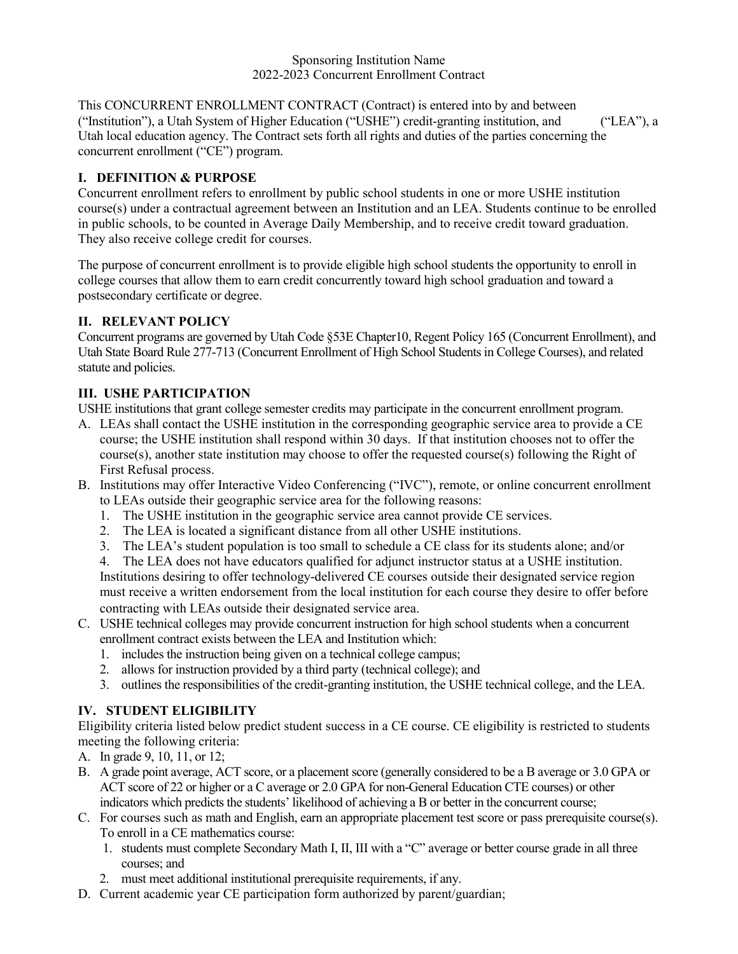This CONCURRENT ENROLLMENT CONTRACT (Contract) is entered into by and between ("Institution"), a Utah System of Higher Education ("USHE") credit-granting institution, and ("LEA"), a Utah local education agency. The Contract sets forth all rights and duties of the parties concerning the concurrent enrollment ("CE") program.

## **I. DEFINITION & PURPOSE**

Concurrent enrollment refers to enrollment by public school students in one or more USHE institution course(s) under a contractual agreement between an Institution and an LEA. Students continue to be enrolled in public schools, to be counted in Average Daily Membership, and to receive credit toward graduation. They also receive college credit for courses.

The purpose of concurrent enrollment is to provide eligible high school students the opportunity to enroll in college courses that allow them to earn credit concurrently toward high school graduation and toward a postsecondary certificate or degree.

## **II. RELEVANT POLICY**

Concurrent programs are governed by Utah Code §53E Chapter10, Regent Policy 165 (Concurrent Enrollment), and Utah State Board Rule 277-713 (Concurrent Enrollment of High School Students in College Courses), and related statute and policies.

# **III. USHE PARTICIPATION**

USHE institutions that grant college semester credits may participate in the concurrent enrollment program.

- A. LEAs shall contact the USHE institution in the corresponding geographic service area to provide a CE course; the USHE institution shall respond within 30 days. If that institution chooses not to offer the course(s), another state institution may choose to offer the requested course(s) following the Right of First Refusal process.
- B. Institutions may offer Interactive Video Conferencing ("IVC"), remote, or online concurrent enrollment to LEAs outside their geographic service area for the following reasons:
	- 1. The USHE institution in the geographic service area cannot provide CE services.
	- 2. The LEA is located a significant distance from all other USHE institutions.
	- 3. The LEA's student population is too small to schedule a CE class for its students alone; and/or
	- 4. The LEA does not have educators qualified for adjunct instructor status at a USHE institution.

Institutions desiring to offer technology-delivered CE courses outside their designated service region must receive a written endorsement from the local institution for each course they desire to offer before contracting with LEAs outside their designated service area.

- C. USHE technical colleges may provide concurrent instruction for high school students when a concurrent enrollment contract exists between the LEA and Institution which:
	- 1. includes the instruction being given on a technical college campus;
	- 2. allows for instruction provided by a third party (technical college); and
	- 3. outlines the responsibilities of the credit-granting institution, the USHE technical college, and the LEA.

## **IV. STUDENT ELIGIBILITY**

Eligibility criteria listed below predict student success in a CE course. CE eligibility is restricted to students meeting the following criteria:

- A. In grade 9, 10, 11, or 12;
- B. A grade point average, ACT score, or a placement score (generally considered to be a B average or 3.0 GPA or ACT score of 22 or higher or a C average or 2.0 GPA for non-General Education CTE courses) or other indicators which predicts the students' likelihood of achieving a B or better in the concurrent course;
- C. For courses such as math and English, earn an appropriate placement test score or pass prerequisite course(s). To enroll in a CE mathematics course:
	- 1. students must complete Secondary Math I, II, III with a "C" average or better course grade in all three courses; and
	- 2. must meet additional institutional prerequisite requirements, if any.
- D. Current academic year CE participation form authorized by parent/guardian;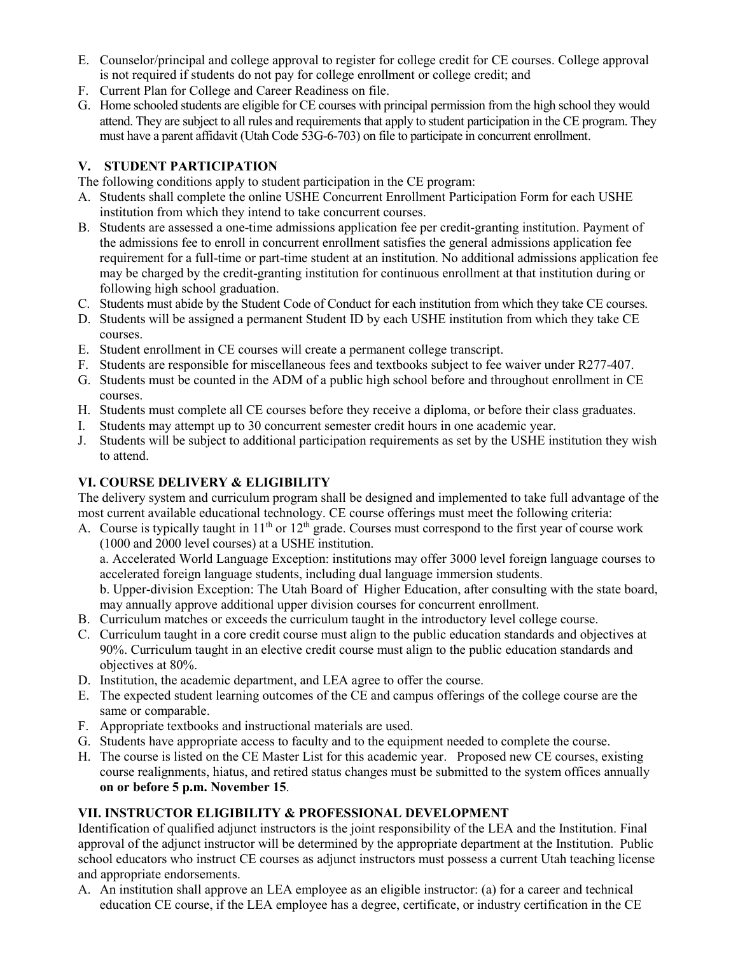- E. Counselor/principal and college approval to register for college credit for CE courses. College approval is not required if students do not pay for college enrollment or college credit; and
- F. Current Plan for College and Career Readiness on file.
- G. Home schooled students are eligible for CE courses with principal permission from the high school they would attend. They are subject to all rules and requirements that apply to student participation in the CE program. They must have a parent affidavit (Utah Code 53G-6-703) on file to participate in concurrent enrollment.

# **V. STUDENT PARTICIPATION**

The following conditions apply to student participation in the CE program:

- A. Students shall complete the online USHE Concurrent Enrollment Participation Form for each USHE institution from which they intend to take concurrent courses.
- B. Students are assessed a one-time admissions application fee per credit-granting institution. Payment of the admissions fee to enroll in concurrent enrollment satisfies the general admissions application fee requirement for a full-time or part-time student at an institution. No additional admissions application fee may be charged by the credit-granting institution for continuous enrollment at that institution during or following high school graduation.
- C. Students must abide by the Student Code of Conduct for each institution from which they take CE courses.
- D. Students will be assigned a permanent Student ID by each USHE institution from which they take CE courses.
- E. Student enrollment in CE courses will create a permanent college transcript.
- F. Students are responsible for miscellaneous fees and textbooks subject to fee waiver under R277-407.
- G. Students must be counted in the ADM of a public high school before and throughout enrollment in CE courses.
- H. Students must complete all CE courses before they receive a diploma, or before their class graduates.
- I. Students may attempt up to 30 concurrent semester credit hours in one academic year.
- J. Students will be subject to additional participation requirements as set by the USHE institution they wish to attend.

## **VI. COURSE DELIVERY & ELIGIBILITY**

The delivery system and curriculum program shall be designed and implemented to take full advantage of the most current available educational technology. CE course offerings must meet the following criteria:

A. Course is typically taught in  $11<sup>th</sup>$  or  $12<sup>th</sup>$  grade. Courses must correspond to the first year of course work (1000 and 2000 level courses) at a USHE institution.

a. Accelerated World Language Exception: institutions may offer 3000 level foreign language courses to accelerated foreign language students, including dual language immersion students.

b. Upper-division Exception: The Utah Board of Higher Education, after consulting with the state board, may annually approve additional upper division courses for concurrent enrollment.

- B. Curriculum matches or exceeds the curriculum taught in the introductory level college course.
- C. Curriculum taught in a core credit course must align to the public education standards and objectives at 90%. Curriculum taught in an elective credit course must align to the public education standards and objectives at 80%.
- D. Institution, the academic department, and LEA agree to offer the course.
- E. The expected student learning outcomes of the CE and campus offerings of the college course are the same or comparable.
- F. Appropriate textbooks and instructional materials are used.
- G. Students have appropriate access to faculty and to the equipment needed to complete the course.
- H. The course is listed on the CE Master List for this academic year. Proposed new CE courses, existing course realignments, hiatus, and retired status changes must be submitted to the system offices annually **on or before 5 p.m. November 15**.

## **VII. INSTRUCTOR ELIGIBILITY & PROFESSIONAL DEVELOPMENT**

Identification of qualified adjunct instructors is the joint responsibility of the LEA and the Institution. Final approval of the adjunct instructor will be determined by the appropriate department at the Institution. Public school educators who instruct CE courses as adjunct instructors must possess a current Utah teaching license and appropriate endorsements.

A. An institution shall approve an LEA employee as an eligible instructor: (a) for a career and technical education CE course, if the LEA employee has a degree, certificate, or industry certification in the CE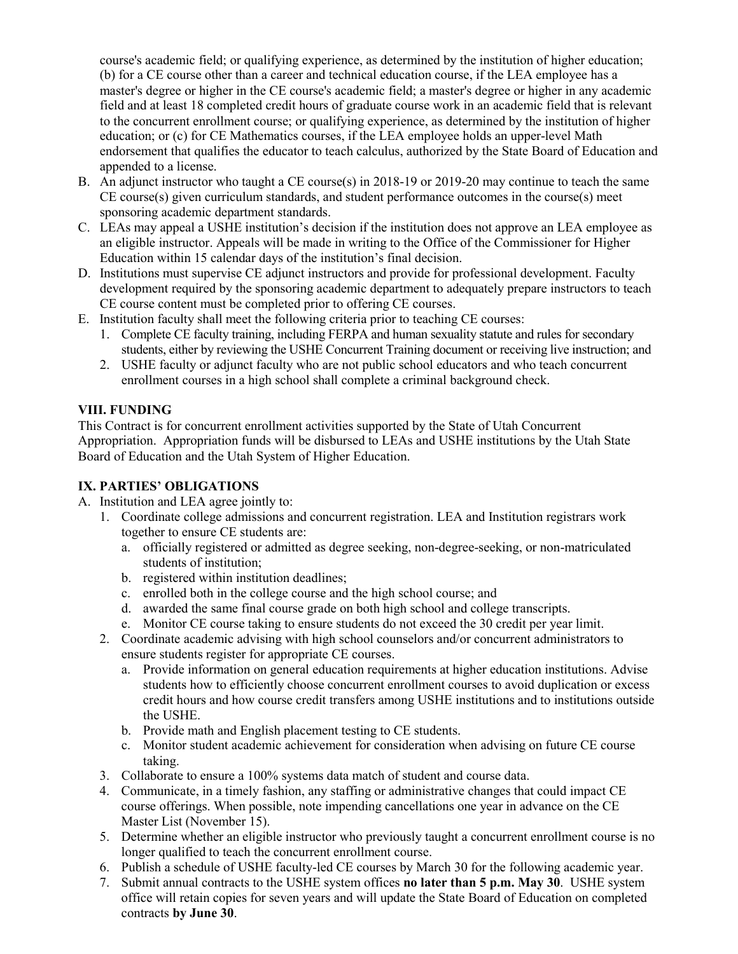course's academic field; or qualifying experience, as determined by the institution of higher education; (b) for a CE course other than a career and technical education course, if the LEA employee has a master's degree or higher in the CE course's academic field; a master's degree or higher in any academic field and at least 18 completed credit hours of graduate course work in an academic field that is relevant to the concurrent enrollment course; or qualifying experience, as determined by the institution of higher education; or (c) for CE Mathematics courses, if the LEA employee holds an upper-level Math endorsement that qualifies the educator to teach calculus, authorized by the State Board of Education and appended to a license.

- B. An adjunct instructor who taught a CE course(s) in 2018-19 or 2019-20 may continue to teach the same CE course(s) given curriculum standards, and student performance outcomes in the course(s) meet sponsoring academic department standards.
- C. LEAs may appeal a USHE institution's decision if the institution does not approve an LEA employee as an eligible instructor. Appeals will be made in writing to the Office of the Commissioner for Higher Education within 15 calendar days of the institution's final decision.
- D. Institutions must supervise CE adjunct instructors and provide for professional development. Faculty development required by the sponsoring academic department to adequately prepare instructors to teach CE course content must be completed prior to offering CE courses.
- E. Institution faculty shall meet the following criteria prior to teaching CE courses:
	- 1. Complete CE faculty training, including FERPA and human sexuality statute and rules for secondary students, either by reviewing the USHE Concurrent Training document or receiving live instruction; and
	- 2. USHE faculty or adjunct faculty who are not public school educators and who teach concurrent enrollment courses in a high school shall complete a criminal background check.

# **VIII. FUNDING**

This Contract is for concurrent enrollment activities supported by the State of Utah Concurrent Appropriation. Appropriation funds will be disbursed to LEAs and USHE institutions by the Utah State Board of Education and the Utah System of Higher Education.

## **IX. PARTIES' OBLIGATIONS**

- A. Institution and LEA agree jointly to:
	- 1. Coordinate college admissions and concurrent registration. LEA and Institution registrars work together to ensure CE students are:
		- a. officially registered or admitted as degree seeking, non-degree-seeking, or non-matriculated students of institution;
		- b. registered within institution deadlines;
		- c. enrolled both in the college course and the high school course; and
		- d. awarded the same final course grade on both high school and college transcripts.
		- e. Monitor CE course taking to ensure students do not exceed the 30 credit per year limit.
	- 2. Coordinate academic advising with high school counselors and/or concurrent administrators to ensure students register for appropriate CE courses.
		- a. Provide information on general education requirements at higher education institutions. Advise students how to efficiently choose concurrent enrollment courses to avoid duplication or excess credit hours and how course credit transfers among USHE institutions and to institutions outside the USHE.
		- b. Provide math and English placement testing to CE students.
		- c. Monitor student academic achievement for consideration when advising on future CE course taking.
	- 3. Collaborate to ensure a 100% systems data match of student and course data.
	- 4. Communicate, in a timely fashion, any staffing or administrative changes that could impact CE course offerings. When possible, note impending cancellations one year in advance on the CE Master List (November 15).
	- 5. Determine whether an eligible instructor who previously taught a concurrent enrollment course is no longer qualified to teach the concurrent enrollment course.
	- 6. Publish a schedule of USHE faculty-led CE courses by March 30 for the following academic year.
	- 7. Submit annual contracts to the USHE system offices **no later than 5 p.m. May 30**. USHE system office will retain copies for seven years and will update the State Board of Education on completed contracts **by June 30**.